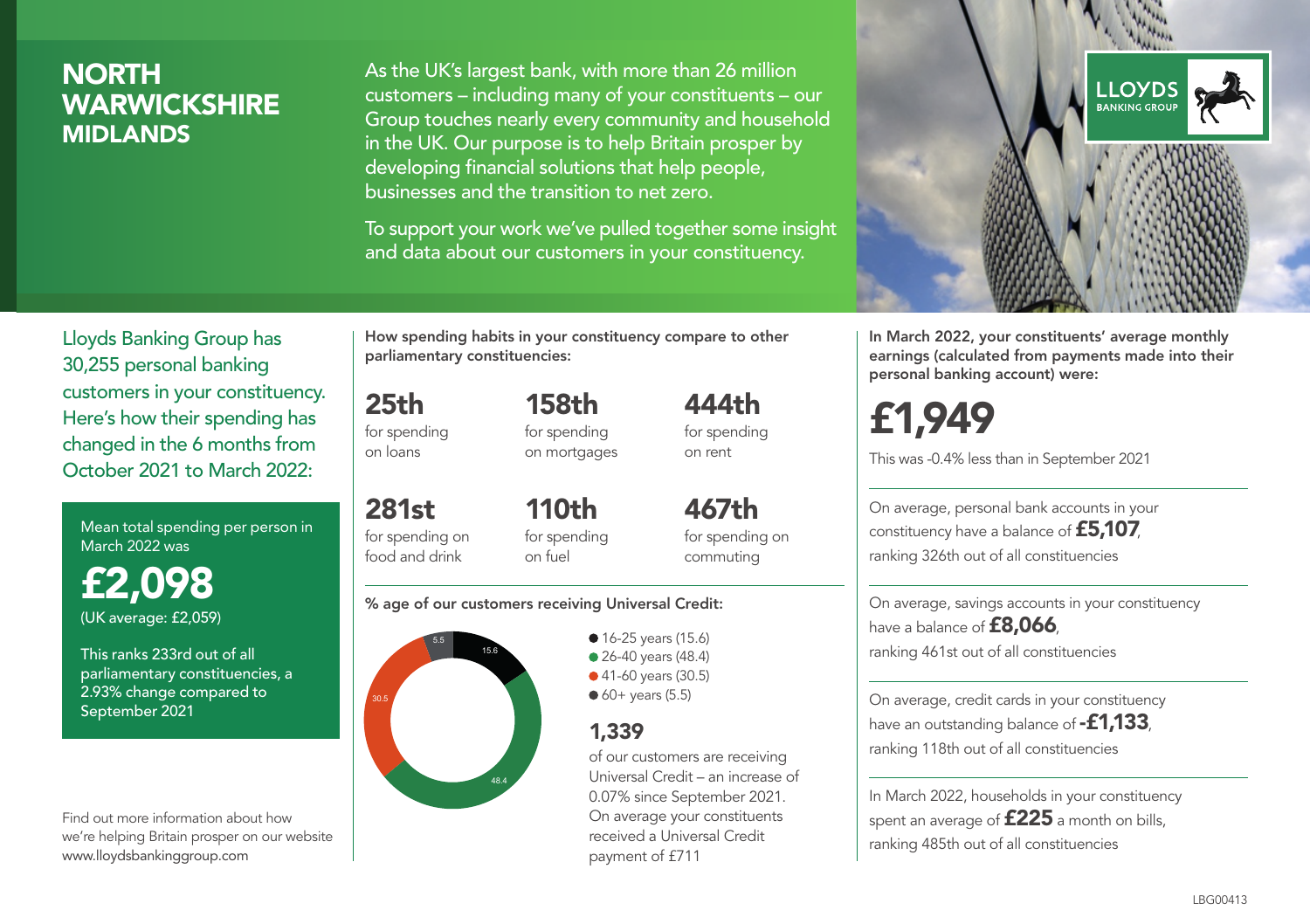### **NORTH WARWICKSHIRE** MIDLANDS

As the UK's largest bank, with more than 26 million customers – including many of your constituents – our Group touches nearly every community and household in the UK. Our purpose is to help Britain prosper by developing financial solutions that help people, businesses and the transition to net zero.

To support your work we've pulled together some insight and data about our customers in your constituency.



Mean total spending per person in March 2022 was

£2,098 (UK average: £2,059)

This ranks 233rd out of all parliamentary constituencies, a 2.93% change compared to September 2021

Find out more information about how we're helping Britain prosper on our website www.lloydsbankinggroup.com

How spending habits in your constituency compare to other parliamentary constituencies:

for spending 158th

25th

on loans

281st

for spending on mortgages 444th for spending on rent

for spending on food and drink 110th for spending on fuel

467th for spending on commuting

#### % age of our customers receiving Universal Credit:



• 16-25 years (15.6) • 26-40 years (48.4) ● 41-60 years (30.5)  $60+$  years (5.5)

### 1,339

of our customers are receiving Universal Credit – an increase of 0.07% since September 2021. On average your constituents received a Universal Credit payment of £711



In March 2022, your constituents' average monthly earnings (calculated from payments made into their personal banking account) were:

# £1,949

This was -0.4% less than in September 2021

On average, personal bank accounts in your constituency have a balance of £5,107, ranking 326th out of all constituencies

On average, savings accounts in your constituency have a balance of **£8,066** ranking 461st out of all constituencies

On average, credit cards in your constituency have an outstanding balance of **-£1,133** ranking 118th out of all constituencies

In March 2022, households in your constituency spent an average of £225 a month on bills, ranking 485th out of all constituencies